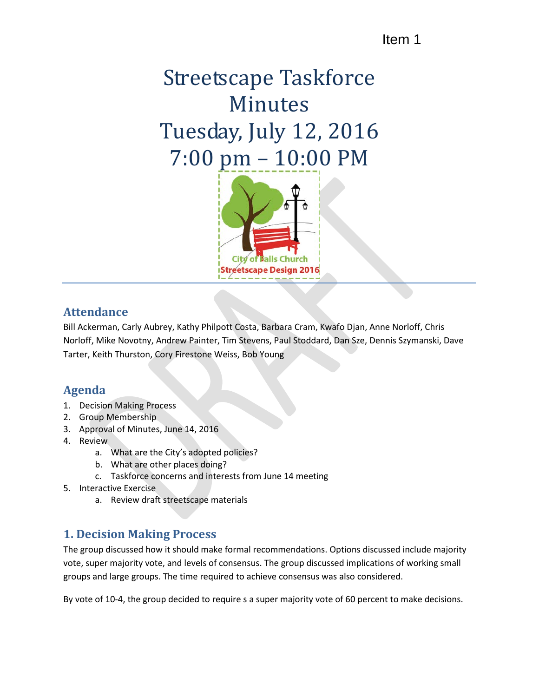## Item 1

# Streetscape Taskforce Minutes Tuesday, July 12, 2016 7:00 pm – 10:00 PM



#### **Attendance**

Bill Ackerman, Carly Aubrey, Kathy Philpott Costa, Barbara Cram, Kwafo Djan, Anne Norloff, Chris Norloff, Mike Novotny, Andrew Painter, Tim Stevens, Paul Stoddard, Dan Sze, Dennis Szymanski, Dave Tarter, Keith Thurston, Cory Firestone Weiss, Bob Young

## **Agenda**

- 1. Decision Making Process
- 2. Group Membership
- 3. Approval of Minutes, June 14, 2016
- 4. Review
	- a. What are the City's adopted policies?
	- b. What are other places doing?
	- c. Taskforce concerns and interests from June 14 meeting
- 5. Interactive Exercise
	- a. Review draft streetscape materials

## **1. Decision Making Process**

The group discussed how it should make formal recommendations. Options discussed include majority vote, super majority vote, and levels of consensus. The group discussed implications of working small groups and large groups. The time required to achieve consensus was also considered.

By vote of 10-4, the group decided to require s a super majority vote of 60 percent to make decisions.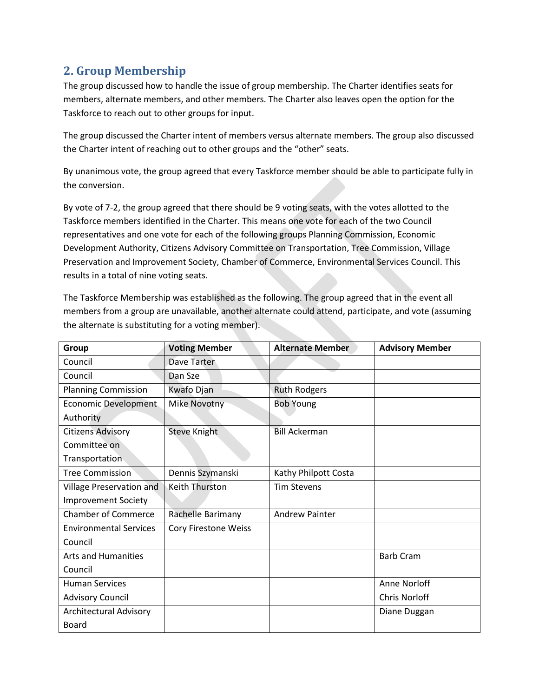## **2. Group Membership**

The group discussed how to handle the issue of group membership. The Charter identifies seats for members, alternate members, and other members. The Charter also leaves open the option for the Taskforce to reach out to other groups for input.

The group discussed the Charter intent of members versus alternate members. The group also discussed the Charter intent of reaching out to other groups and the "other" seats.

By unanimous vote, the group agreed that every Taskforce member should be able to participate fully in the conversion.

By vote of 7-2, the group agreed that there should be 9 voting seats, with the votes allotted to the Taskforce members identified in the Charter. This means one vote for each of the two Council representatives and one vote for each of the following groups Planning Commission, Economic Development Authority, Citizens Advisory Committee on Transportation, Tree Commission, Village Preservation and Improvement Society, Chamber of Commerce, Environmental Services Council. This results in a total of nine voting seats.

The Taskforce Membership was established as the following. The group agreed that in the event all members from a group are unavailable, another alternate could attend, participate, and vote (assuming the alternate is substituting for a voting member).

| Group                         | <b>Voting Member</b> | <b>Alternate Member</b> | <b>Advisory Member</b> |
|-------------------------------|----------------------|-------------------------|------------------------|
| Council                       | Dave Tarter          |                         |                        |
| Council                       | Dan Sze              |                         |                        |
| <b>Planning Commission</b>    | Kwafo Djan           | <b>Ruth Rodgers</b>     |                        |
| <b>Economic Development</b>   | <b>Mike Novotny</b>  | <b>Bob Young</b>        |                        |
| Authority                     |                      |                         |                        |
| <b>Citizens Advisory</b>      | <b>Steve Knight</b>  | <b>Bill Ackerman</b>    |                        |
| Committee on                  |                      |                         |                        |
| Transportation                |                      |                         |                        |
| <b>Tree Commission</b>        | Dennis Szymanski     | Kathy Philpott Costa    |                        |
| Village Preservation and      | Keith Thurston       | <b>Tim Stevens</b>      |                        |
| <b>Improvement Society</b>    |                      |                         |                        |
| <b>Chamber of Commerce</b>    | Rachelle Barimany    | <b>Andrew Painter</b>   |                        |
| <b>Environmental Services</b> | Cory Firestone Weiss |                         |                        |
| Council                       |                      |                         |                        |
| <b>Arts and Humanities</b>    |                      |                         | <b>Barb Cram</b>       |
| Council                       |                      |                         |                        |
| <b>Human Services</b>         |                      |                         | Anne Norloff           |
| <b>Advisory Council</b>       |                      |                         | <b>Chris Norloff</b>   |
| <b>Architectural Advisory</b> |                      |                         | Diane Duggan           |
| Board                         |                      |                         |                        |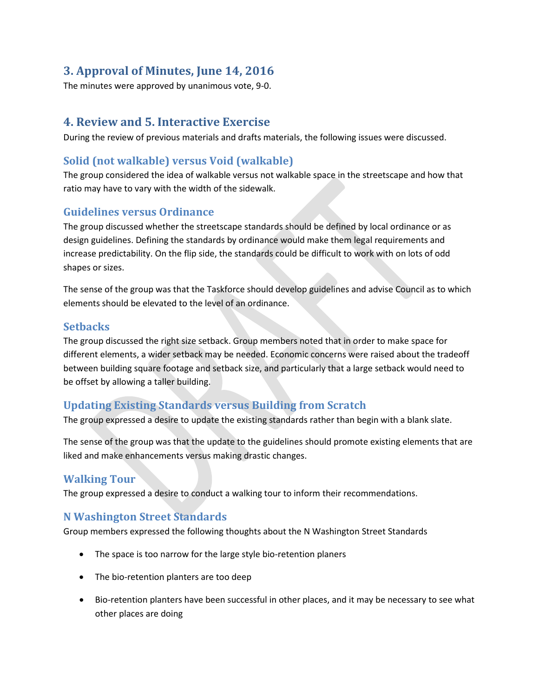## **3. Approval of Minutes, June 14, 2016**

The minutes were approved by unanimous vote, 9-0.

## **4. Review and 5. Interactive Exercise**

During the review of previous materials and drafts materials, the following issues were discussed.

#### **Solid (not walkable) versus Void (walkable)**

The group considered the idea of walkable versus not walkable space in the streetscape and how that ratio may have to vary with the width of the sidewalk.

#### **Guidelines versus Ordinance**

The group discussed whether the streetscape standards should be defined by local ordinance or as design guidelines. Defining the standards by ordinance would make them legal requirements and increase predictability. On the flip side, the standards could be difficult to work with on lots of odd shapes or sizes.

The sense of the group was that the Taskforce should develop guidelines and advise Council as to which elements should be elevated to the level of an ordinance.

#### **Setbacks**

The group discussed the right size setback. Group members noted that in order to make space for different elements, a wider setback may be needed. Economic concerns were raised about the tradeoff between building square footage and setback size, and particularly that a large setback would need to be offset by allowing a taller building.

#### **Updating Existing Standards versus Building from Scratch**

The group expressed a desire to update the existing standards rather than begin with a blank slate.

The sense of the group was that the update to the guidelines should promote existing elements that are liked and make enhancements versus making drastic changes.

#### **Walking Tour**

The group expressed a desire to conduct a walking tour to inform their recommendations.

#### **N Washington Street Standards**

Group members expressed the following thoughts about the N Washington Street Standards

- The space is too narrow for the large style bio-retention planers
- The bio-retention planters are too deep
- Bio-retention planters have been successful in other places, and it may be necessary to see what other places are doing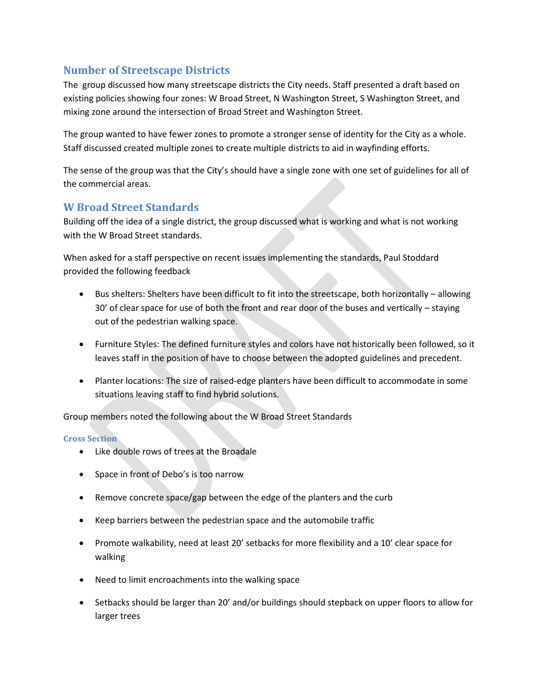#### **Number of Streetscape Districts**

The group discussed how many streetscape districts the City needs. Staff presented a draft based on existing policies showing four zones: W Broad Street, N Washington Street, S Washington Street, and mixing zone around the intersection of Broad Street and Washington Street.

The group wanted to have fewer zones to promote a stronger sense of identity for the City as a whole. Staff discussed created multiple zones to create multiple districts to aid in wayfinding efforts.

The sense of the group was that the City's should have a single zone with one set of guidelines for all of the commercial areas.

## **W Broad Street Standards**

Building off the idea of a single district, the group discussed what is working and what is not working with the W Broad Street standards.

When asked for a staff perspective on recent issues implementing the standards, Paul Stoddard provided the following feedback

- Bus shelters: Shelters have been difficult to fit into the streetscape, both horizontally allowing 30' of clear space for use of both the front and rear door of the buses and vertically – staying out of the pedestrian walking space.
- Furniture Styles: The defined furniture styles and colors have not historically been followed, so it leaves staff in the position of have to choose between the adopted guidelines and precedent.
- Planter locations: The size of raised-edge planters have been difficult to accommodate in some situations leaving staff to find hybrid solutions.

Group members noted the following about the W Broad Street Standards

#### **Cross Section**

- Like double rows of trees at the Broadale
- Space in front of Debo's is too narrow
- Remove concrete space/gap between the edge of the planters and the curb
- Keep barriers between the pedestrian space and the automobile traffic
- Promote walkability, need at least 20' setbacks for more flexibility and a 10' clear space for walking
- Need to limit encroachments into the walking space
- Setbacks should be larger than 20' and/or buildings should stepback on upper floors to allow for larger trees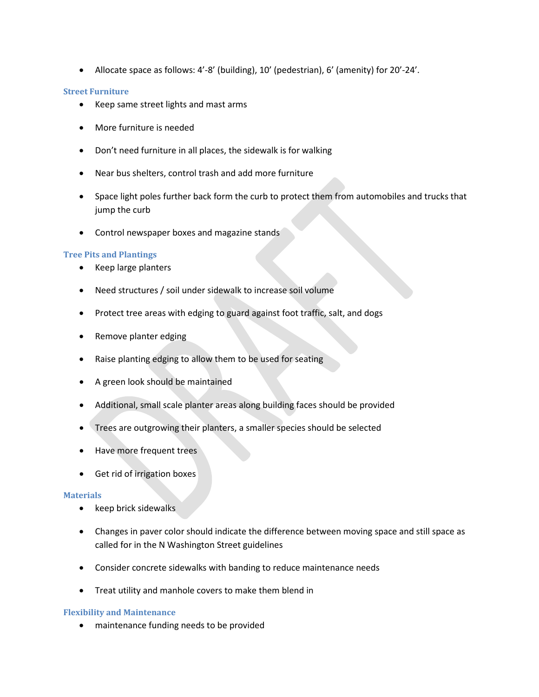• Allocate space as follows: 4'-8' (building), 10' (pedestrian), 6' (amenity) for 20'-24'.

#### **Street Furniture**

- Keep same street lights and mast arms
- More furniture is needed
- Don't need furniture in all places, the sidewalk is for walking
- Near bus shelters, control trash and add more furniture
- Space light poles further back form the curb to protect them from automobiles and trucks that jump the curb
- Control newspaper boxes and magazine stands

#### **Tree Pits and Plantings**

- Keep large planters
- Need structures / soil under sidewalk to increase soil volume
- Protect tree areas with edging to guard against foot traffic, salt, and dogs
- Remove planter edging
- Raise planting edging to allow them to be used for seating
- A green look should be maintained
- Additional, small scale planter areas along building faces should be provided
- Trees are outgrowing their planters, a smaller species should be selected
- Have more frequent trees
- Get rid of irrigation boxes

#### **Materials**

- keep brick sidewalks
- Changes in paver color should indicate the difference between moving space and still space as called for in the N Washington Street guidelines
- Consider concrete sidewalks with banding to reduce maintenance needs
- Treat utility and manhole covers to make them blend in

#### **Flexibility and Maintenance**

• maintenance funding needs to be provided